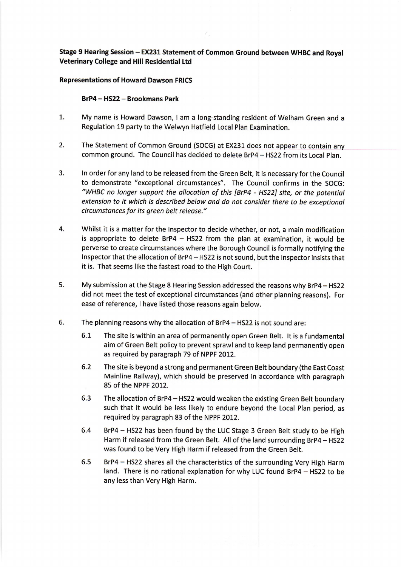## Stage 9 Hearing Session - EX231 Statement of Common Ground between WHBC and Royal **Veterinary College and Hill Residential Ltd**

## **Representations of Howard Dawson FRICS**

## BrP4 - HS22 - Brookmans Park

- $1.$ My name is Howard Dawson, I am a long-standing resident of Welham Green and a Regulation 19 party to the Welwyn Hatfield Local Plan Examination.
- $2.$ The Statement of Common Ground (SOCG) at EX231 does not appear to contain any common ground. The Council has decided to delete BrP4 - HS22 from its Local Plan.
- $3.$ In order for any land to be released from the Green Belt, it is necessary for the Council to demonstrate "exceptional circumstances". The Council confirms in the SOCG: "WHBC no longer support the allocation of this [BrP4 - HS22] site, or the potential extension to it which is described below and do not consider there to be exceptional circumstances for its green belt release."
- 4. Whilst it is a matter for the Inspector to decide whether, or not, a main modification is appropriate to delete  $BrP4 - HS22$  from the plan at examination, it would be perverse to create circumstances where the Borough Council is formally notifying the Inspector that the allocation of BrP4 - HS22 is not sound, but the Inspector insists that it is. That seems like the fastest road to the High Court.
- 5. My submission at the Stage 8 Hearing Session addressed the reasons why BrP4 - HS22 did not meet the test of exceptional circumstances (and other planning reasons). For ease of reference, I have listed those reasons again below.
- 6. The planning reasons why the allocation of BrP4 - HS22 is not sound are:
	- $6.1$ The site is within an area of permanently open Green Belt. It is a fundamental aim of Green Belt policy to prevent sprawl and to keep land permanently open as required by paragraph 79 of NPPF 2012.
	- $6.2$ The site is beyond a strong and permanent Green Belt boundary (the East Coast Mainline Railway), which should be preserved in accordance with paragraph 85 of the NPPF 2012.
	- 6.3 The allocation of BrP4 - HS22 would weaken the existing Green Belt boundary such that it would be less likely to endure beyond the Local Plan period, as required by paragraph 83 of the NPPF 2012.
	- 6.4 BrP4 - HS22 has been found by the LUC Stage 3 Green Belt study to be High Harm if released from the Green Belt. All of the land surrounding BrP4 - HS22 was found to be Very High Harm if released from the Green Belt.
	- $6.5$ BrP4 - HS22 shares all the characteristics of the surrounding Very High Harm land. There is no rational explanation for why LUC found BrP4 - HS22 to be any less than Very High Harm.